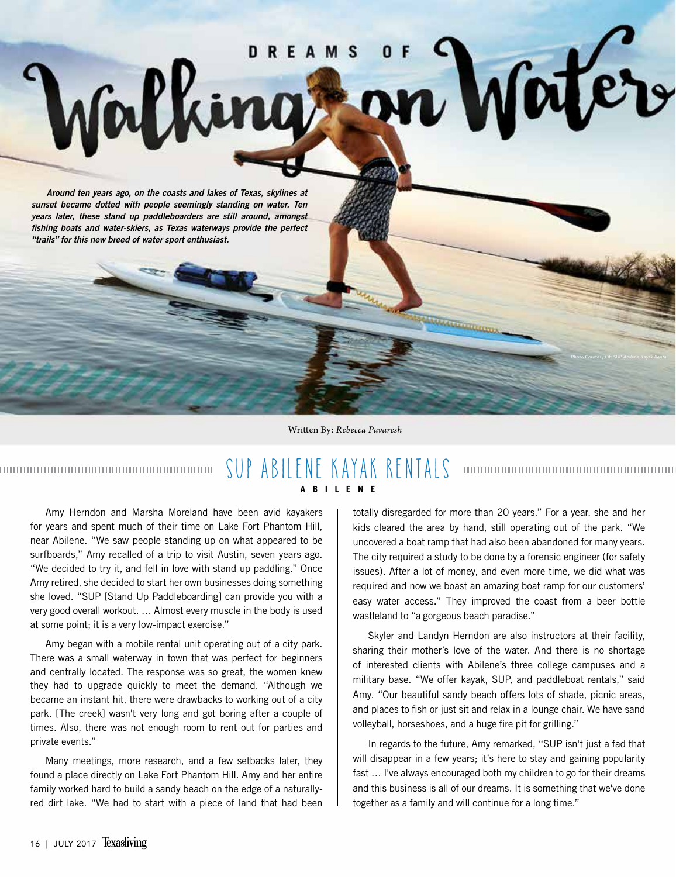

Written By: *Rebecca Pavaresh*

## SUP ABILENE KAYAK RENTALS 000000000000000000000000000000000000 **ABILENE**

Amy Herndon and Marsha Moreland have been avid kayakers for years and spent much of their time on Lake Fort Phantom Hill, near Abilene. "We saw people standing up on what appeared to be surfboards," Amy recalled of a trip to visit Austin, seven years ago. "We decided to try it, and fell in love with stand up paddling." Once Amy retired, she decided to start her own businesses doing something she loved. "SUP [Stand Up Paddleboarding] can provide you with a very good overall workout. … Almost every muscle in the body is used at some point; it is a very low-impact exercise."

Amy began with a mobile rental unit operating out of a city park. There was a small waterway in town that was perfect for beginners and centrally located. The response was so great, the women knew they had to upgrade quickly to meet the demand. "Although we became an instant hit, there were drawbacks to working out of a city park. [The creek] wasn't very long and got boring after a couple of times. Also, there was not enough room to rent out for parties and private events."

Many meetings, more research, and a few setbacks later, they found a place directly on Lake Fort Phantom Hill. Amy and her entire family worked hard to build a sandy beach on the edge of a naturallyred dirt lake. "We had to start with a piece of land that had been

totally disregarded for more than 20 years." For a year, she and her kids cleared the area by hand, still operating out of the park. "We uncovered a boat ramp that had also been abandoned for many years. The city required a study to be done by a forensic engineer (for safety issues). After a lot of money, and even more time, we did what was required and now we boast an amazing boat ramp for our customers' easy water access." They improved the coast from a beer bottle wastleland to "a gorgeous beach paradise."

Skyler and Landyn Herndon are also instructors at their facility, sharing their mother's love of the water. And there is no shortage of interested clients with Abilene's three college campuses and a military base. "We offer kayak, SUP, and paddleboat rentals," said Amy. "Our beautiful sandy beach offers lots of shade, picnic areas, and places to fish or just sit and relax in a lounge chair. We have sand volleyball, horseshoes, and a huge fire pit for grilling."

In regards to the future, Amy remarked, "SUP isn't just a fad that will disappear in a few years; it's here to stay and gaining popularity fast … I've always encouraged both my children to go for their dreams and this business is all of our dreams. It is something that we've done together as a family and will continue for a long time."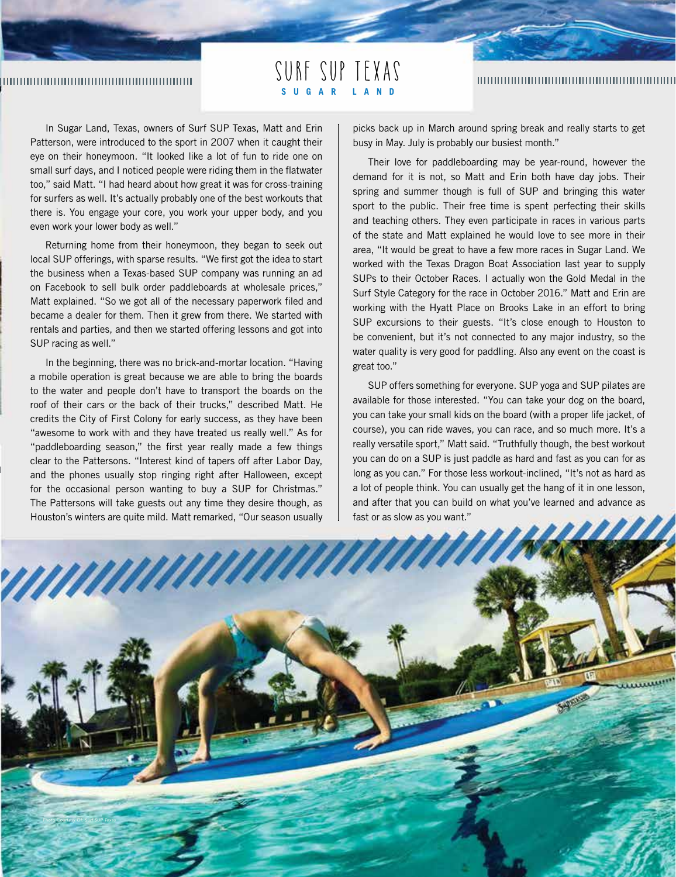## 

SURF SUP TEXAS **SUGAR LAND**

## 

In Sugar Land, Texas, owners of Surf SUP Texas, Matt and Erin Patterson, were introduced to the sport in 2007 when it caught their eye on their honeymoon. "It looked like a lot of fun to ride one on small surf days, and I noticed people were riding them in the flatwater too," said Matt. "I had heard about how great it was for cross-training for surfers as well. It's actually probably one of the best workouts that there is. You engage your core, you work your upper body, and you even work your lower body as well."

Returning home from their honeymoon, they began to seek out local SUP offerings, with sparse results. "We first got the idea to start the business when a Texas-based SUP company was running an ad on Facebook to sell bulk order paddleboards at wholesale prices," Matt explained. "So we got all of the necessary paperwork filed and became a dealer for them. Then it grew from there. We started with rentals and parties, and then we started offering lessons and got into SUP racing as well."

In the beginning, there was no brick-and-mortar location. "Having a mobile operation is great because we are able to bring the boards to the water and people don't have to transport the boards on the roof of their cars or the back of their trucks," described Matt. He credits the City of First Colony for early success, as they have been "awesome to work with and they have treated us really well." As for "paddleboarding season," the first year really made a few things clear to the Pattersons. "Interest kind of tapers off after Labor Day, and the phones usually stop ringing right after Halloween, except for the occasional person wanting to buy a SUP for Christmas." The Pattersons will take guests out any time they desire though, as Houston's winters are quite mild. Matt remarked, "Our season usually

picks back up in March around spring break and really starts to get busy in May. July is probably our busiest month."

Their love for paddleboarding may be year-round, however the demand for it is not, so Matt and Erin both have day jobs. Their spring and summer though is full of SUP and bringing this water sport to the public. Their free time is spent perfecting their skills and teaching others. They even participate in races in various parts of the state and Matt explained he would love to see more in their area, "It would be great to have a few more races in Sugar Land. We worked with the Texas Dragon Boat Association last year to supply SUPs to their October Races. I actually won the Gold Medal in the Surf Style Category for the race in October 2016." Matt and Erin are working with the Hyatt Place on Brooks Lake in an effort to bring SUP excursions to their guests. "It's close enough to Houston to be convenient, but it's not connected to any major industry, so the water quality is very good for paddling. Also any event on the coast is great too."

SUP offers something for everyone. SUP yoga and SUP pilates are available for those interested. "You can take your dog on the board, you can take your small kids on the board (with a proper life jacket, of course), you can ride waves, you can race, and so much more. It's a really versatile sport," Matt said. "Truthfully though, the best workout you can do on a SUP is just paddle as hard and fast as you can for as long as you can." For those less workout-inclined, "It's not as hard as a lot of people think. You can usually get the hang of it in one lesson, and after that you can build on what you've learned and advance as fast or as slow as you want."